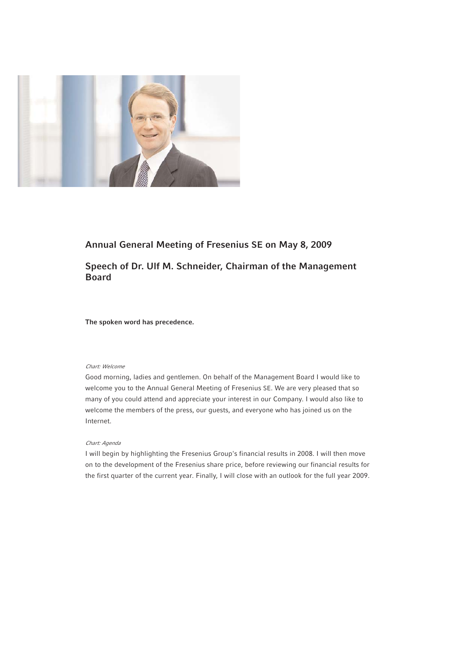

# **Annual General Meeting of Fresenius SE on May 8, 2009**

# **Speech of Dr. Ulf M. Schneider, Chairman of the Management Board**

**The spoken word has precedence.**

# Chart: Welcome

Good morning, ladies and gentlemen. On behalf of the Management Board I would like to welcome you to the Annual General Meeting of Fresenius SE. We are very pleased that so many of you could attend and appreciate your interest in our Company. I would also like to welcome the members of the press, our guests, and everyone who has joined us on the Internet.

# Chart: Agenda

I will begin by highlighting the Fresenius Group's financial results in 2008. I will then move on to the development of the Fresenius share price, before reviewing our financial results for the first quarter of the current year. Finally, I will close with an outlook for the full year 2009.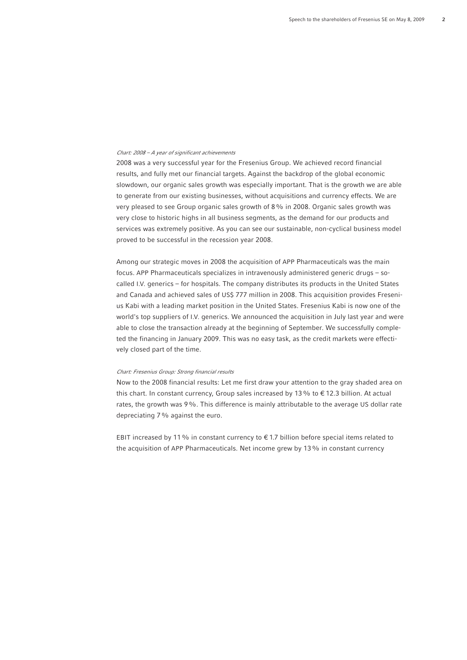### Chart: 2008 – A year of significant achievements

2008 was a very successful year for the Fresenius Group. We achieved record financial results, and fully met our financial targets. Against the backdrop of the global economic slowdown, our organic sales growth was especially important. That is the growth we are able to generate from our existing businesses, without acquisitions and currency effects. We are very pleased to see Group organic sales growth of 8% in 2008. Organic sales growth was very close to historic highs in all business segments, as the demand for our products and services was extremely positive. As you can see our sustainable, non-cyclical business model proved to be successful in the recession year 2008.

Among our strategic moves in 2008 the acquisition of APP Pharmaceuticals was the main focus. APP Pharmaceuticals specializes in intravenously administered generic drugs – socalled I.V. generics – for hospitals. The company distributes its products in the United States and Canada and achieved sales of US\$ 777 million in 2008. This acquisition provides Fresenius Kabi with a leading market position in the United States. Fresenius Kabi is now one of the world's top suppliers of I.V. generics. We announced the acquisition in July last year and were able to close the transaction already at the beginning of September. We successfully completed the financing in January 2009. This was no easy task, as the credit markets were effectively closed part of the time.

#### Chart: Fresenius Group: Strong financial results

Now to the 2008 financial results: Let me first draw your attention to the gray shaded area on this chart. In constant currency, Group sales increased by 13% to € 12.3 billion. At actual rates, the growth was 9%. This difference is mainly attributable to the average US dollar rate depreciating 7% against the euro.

EBIT increased by 11% in constant currency to  $\epsilon$  1.7 billion before special items related to the acquisition of APP Pharmaceuticals. Net income grew by 13% in constant currency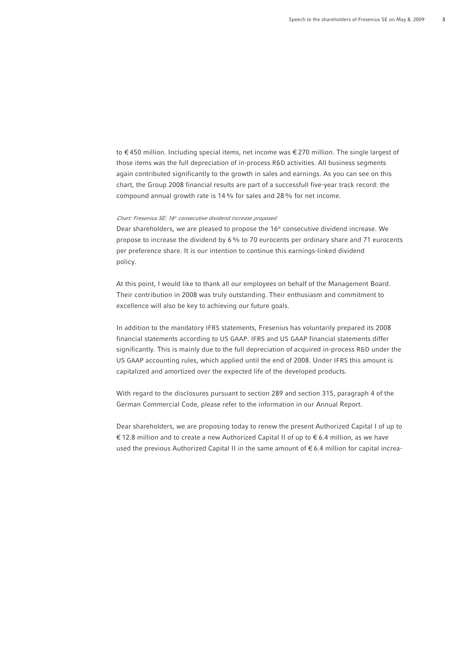to € 450 million. Including special items, net income was € 270 million. The single largest of those items was the full depreciation of in-process R&D activities. All business segments again contributed significantly to the growth in sales and earnings. As you can see on this chart, the Group 2008 financial results are part of a successfull five-year track record: the compound annual growth rate is 14% for sales and 28% for net income.

#### Chart: Fresenius SE: 16<sup>th</sup> consecutive dividend increase proposed

Dear shareholders, we are pleased to propose the  $16<sup>th</sup>$  consecutive dividend increase. We propose to increase the dividend by 6% to 70 eurocents per ordinary share and 71 eurocents per preference share. It is our intention to continue this earnings-linked dividend policy.

At this point, I would like to thank all our employees on behalf of the Management Board. Their contribution in 2008 was truly outstanding. Their enthusiasm and commitment to excellence will also be key to achieving our future goals.

In addition to the mandatory IFRS statements, Fresenius has voluntarily prepared its 2008 financial statements according to US GAAP. IFRS and US GAAP financial statements differ significantly. This is mainly due to the full depreciation of acquired in-process R&D under the US GAAP accounting rules, which applied until the end of 2008. Under IFRS this amount is capitalized and amortized over the expected life of the developed products.

With regard to the disclosures pursuant to section 289 and section 315, paragraph 4 of the German Commercial Code, please refer to the information in our Annual Report.

Dear shareholders, we are proposing today to renew the present Authorized Capital I of up to € 12.8 million and to create a new Authorized Capital II of up to € 6.4 million, as we have used the previous Authorized Capital II in the same amount of € 6.4 million for capital increa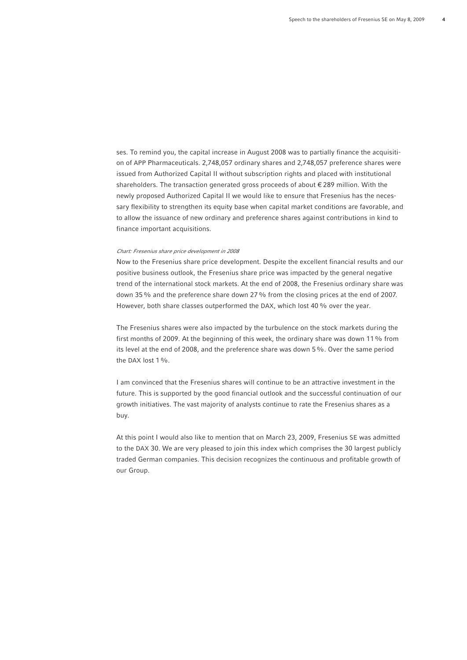ses. To remind you, the capital increase in August 2008 was to partially finance the acquisition of APP Pharmaceuticals. 2,748,057 ordinary shares and 2,748,057 preference shares were issued from Authorized Capital II without subscription rights and placed with institutional shareholders. The transaction generated gross proceeds of about € 289 million. With the newly proposed Authorized Capital II we would like to ensure that Fresenius has the necessary flexibility to strengthen its equity base when capital market conditions are favorable, and to allow the issuance of new ordinary and preference shares against contributions in kind to finance important acquisitions.

#### Chart: Fresenius share price development in 2008

Now to the Fresenius share price development. Despite the excellent financial results and our positive business outlook, the Fresenius share price was impacted by the general negative trend of the international stock markets. At the end of 2008, the Fresenius ordinary share was down 35% and the preference share down 27% from the closing prices at the end of 2007. However, both share classes outperformed the DAX, which lost 40 % over the year.

The Fresenius shares were also impacted by the turbulence on the stock markets during the first months of 2009. At the beginning of this week, the ordinary share was down 11% from its level at the end of 2008, and the preference share was down 5%. Over the same period the DAX lost 1%.

I am convinced that the Fresenius shares will continue to be an attractive investment in the future. This is supported by the good financial outlook and the successful continuation of our growth initiatives. The vast majority of analysts continue to rate the Fresenius shares as a buy.

At this point I would also like to mention that on March 23, 2009, Fresenius SE was admitted to the DAX 30. We are very pleased to join this index which comprises the 30 largest publicly traded German companies. This decision recognizes the continuous and profitable growth of our Group.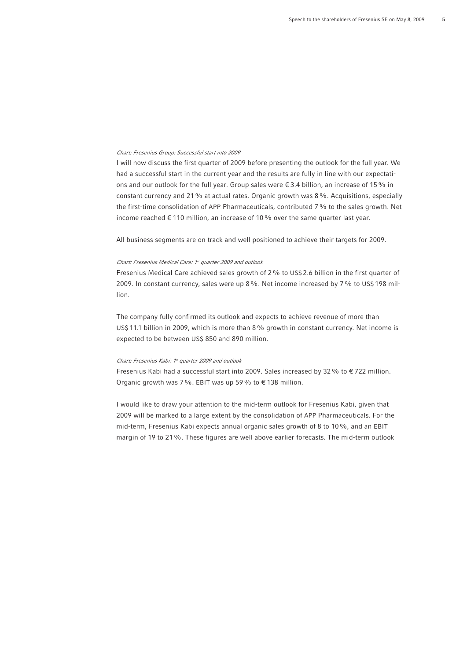# Chart: Fresenius Group: Successful start into 2009

I will now discuss the first quarter of 2009 before presenting the outlook for the full year. We had a successful start in the current year and the results are fully in line with our expectations and our outlook for the full year. Group sales were  $\epsilon$  3.4 billion, an increase of 15% in constant currency and 21% at actual rates. Organic growth was 8%. Acquisitions, especially the first-time consolidation of APP Pharmaceuticals, contributed 7% to the sales growth. Net income reached € 110 million, an increase of 10% over the same quarter last year.

All business segments are on track and well positioned to achieve their targets for 2009.

# Chart: Fresenius Medical Care: <sup>1st</sup> quarter 2009 and outlook

Fresenius Medical Care achieved sales growth of 2% to US\$ 2.6 billion in the first quarter of 2009. In constant currency, sales were up 8%. Net income increased by 7% to US\$ 198 million.

The company fully confirmed its outlook and expects to achieve revenue of more than US\$ 11.1 billion in 2009, which is more than 8% growth in constant currency. Net income is expected to be between US\$ 850 and 890 million.

#### Chart: Fresenius Kabi: 1st quarter 2009 and outlook

Fresenius Kabi had a successful start into 2009. Sales increased by 32 % to  $\epsilon$  722 million. Organic growth was 7%. EBIT was up 59% to  $\epsilon$  138 million.

I would like to draw your attention to the mid-term outlook for Fresenius Kabi, given that 2009 will be marked to a large extent by the consolidation of APP Pharmaceuticals. For the mid-term, Fresenius Kabi expects annual organic sales growth of 8 to 10%, and an EBIT margin of 19 to 21%. These figures are well above earlier forecasts. The mid-term outlook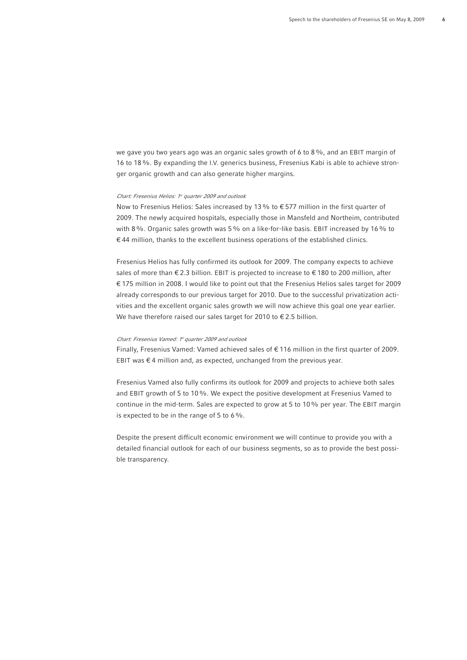we gave you two years ago was an organic sales growth of 6 to 8%, and an EBIT margin of 16 to 18%. By expanding the I.V. generics business, Fresenius Kabi is able to achieve stronger organic growth and can also generate higher margins.

#### Chart: Fresenius Helios: 1<sup>st</sup> quarter 2009 and outlook

Now to Fresenius Helios: Sales increased by 13% to € 577 million in the first quarter of 2009. The newly acquired hospitals, especially those in Mansfeld and Northeim, contributed with 8%. Organic sales growth was 5% on a like-for-like basis. EBIT increased by 16% to  $€44$  million, thanks to the excellent business operations of the established clinics.

Fresenius Helios has fully confirmed its outlook for 2009. The company expects to achieve sales of more than € 2.3 billion. EBIT is projected to increase to € 180 to 200 million, after € 175 million in 2008. I would like to point out that the Fresenius Helios sales target for 2009 already corresponds to our previous target for 2010. Due to the successful privatization activities and the excellent organic sales growth we will now achieve this goal one year earlier. We have therefore raised our sales target for 2010 to  $\epsilon$  2.5 billion.

# Chart: Fresenius Vamed: 1st quarter 2009 and outlook

Finally, Fresenius Vamed: Vamed achieved sales of  $\epsilon$  116 million in the first quarter of 2009. EBIT was € 4 million and, as expected, unchanged from the previous year.

Fresenius Vamed also fully confirms its outlook for 2009 and projects to achieve both sales and EBIT growth of 5 to 10%. We expect the positive development at Fresenius Vamed to continue in the mid-term. Sales are expected to grow at 5 to 10% per year. The EBIT margin is expected to be in the range of 5 to 6%.

Despite the present difficult economic environment we will continue to provide you with a detailed financial outlook for each of our business segments, so as to provide the best possible transparency.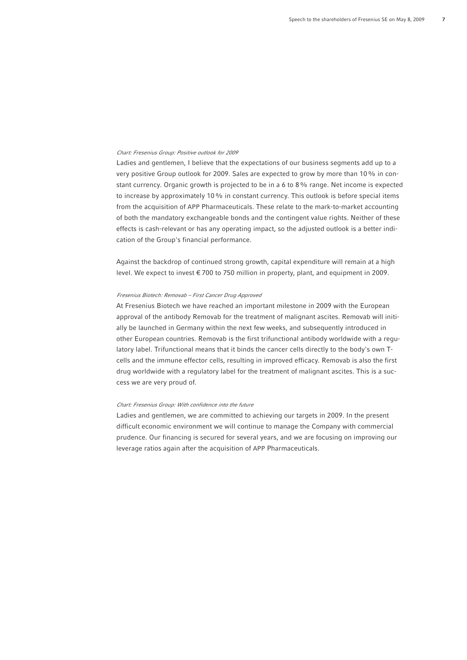## Chart: Fresenius Group: Positive outlook for 2009

Ladies and gentlemen, I believe that the expectations of our business segments add up to a very positive Group outlook for 2009. Sales are expected to grow by more than 10% in constant currency. Organic growth is projected to be in a 6 to 8% range. Net income is expected to increase by approximately 10% in constant currency. This outlook is before special items from the acquisition of APP Pharmaceuticals. These relate to the mark-to-market accounting of both the mandatory exchangeable bonds and the contingent value rights. Neither of these effects is cash-relevant or has any operating impact, so the adjusted outlook is a better indication of the Group's financial performance.

Against the backdrop of continued strong growth, capital expenditure will remain at a high level. We expect to invest € 700 to 750 million in property, plant, and equipment in 2009.

## Fresenius Biotech: Removab – First Cancer Drug Approved

At Fresenius Biotech we have reached an important milestone in 2009 with the European approval of the antibody Removab for the treatment of malignant ascites. Removab will initially be launched in Germany within the next few weeks, and subsequently introduced in other European countries. Removab is the first trifunctional antibody worldwide with a regulatory label. Trifunctional means that it binds the cancer cells directly to the body's own Tcells and the immune effector cells, resulting in improved efficacy. Removab is also the first drug worldwide with a regulatory label for the treatment of malignant ascites. This is a success we are very proud of.

#### Chart: Fresenius Group: With confidence into the future

Ladies and gentlemen, we are committed to achieving our targets in 2009. In the present difficult economic environment we will continue to manage the Company with commercial prudence. Our financing is secured for several years, and we are focusing on improving our leverage ratios again after the acquisition of APP Pharmaceuticals.